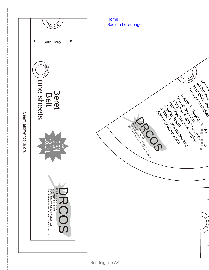